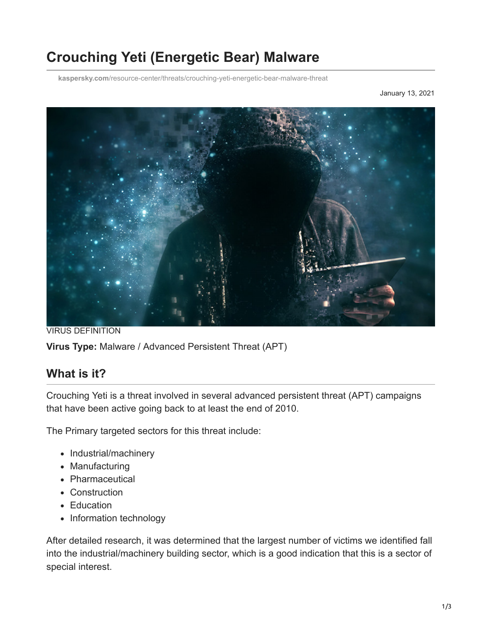# **Crouching Yeti (Energetic Bear) Malware**

**kaspersky.com**[/resource-center/threats/crouching-yeti-energetic-bear-malware-threat](https://www.kaspersky.com/resource-center/threats/crouching-yeti-energetic-bear-malware-threat)

January 13, 2021



VIRUS DEFINITION **Virus Type:** Malware / Advanced Persistent Threat (APT)

## **What is it?**

Crouching Yeti is a threat involved in several advanced persistent threat (APT) campaigns that have been active going back to at least the end of 2010.

The Primary targeted sectors for this threat include:

- Industrial/machinery
- Manufacturing
- Pharmaceutical
- Construction
- Education
- Information technology

After detailed research, it was determined that the largest number of victims we identified fall into the industrial/machinery building sector, which is a good indication that this is a sector of special interest.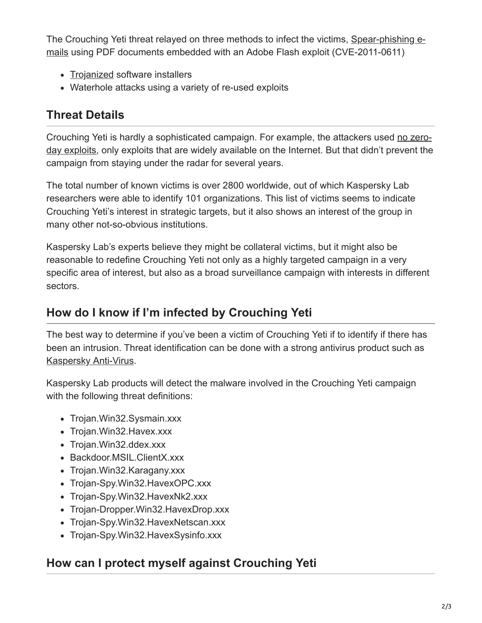[The Crouching Yeti threat relayed on three methods to infect the victims, Spear-phishing e](https://www.kaspersky.com/resource-center/definitions/spear-phishing)mails using PDF documents embedded with an Adobe Flash exploit (CVE-2011-0611)

- [Trojanized](https://www.kaspersky.com/resource-center/threats/trojans) software installers
- Waterhole attacks using a variety of re-used exploits

## **Threat Details**

[Crouching Yeti is hardly a sophisticated campaign. For example, the attackers used no zero](https://www.kaspersky.com/resource-center/definitions/zero-day-exploit)day exploits, only exploits that are widely available on the Internet. But that didn't prevent the campaign from staying under the radar for several years.

The total number of known victims is over 2800 worldwide, out of which Kaspersky Lab researchers were able to identify 101 organizations. This list of victims seems to indicate Crouching Yeti's interest in strategic targets, but it also shows an interest of the group in many other not-so-obvious institutions.

Kaspersky Lab's experts believe they might be collateral victims, but it might also be reasonable to redefine Crouching Yeti not only as a highly targeted campaign in a very specific area of interest, but also as a broad surveillance campaign with interests in different sectors.

## **How do I know if I'm infected by Crouching Yeti**

The best way to determine if you've been a victim of Crouching Yeti if to identify if there has been an intrusion. Threat identification can be done with a strong antivirus product such as [Kaspersky Anti-Virus](https://www.kaspersky.com/antivirus).

Kaspersky Lab products will detect the malware involved in the Crouching Yeti campaign with the following threat definitions:

- Trojan. Win32. Sysmain. xxx
- Trojan. Win32. Havex.xxx
- Trojan. Win32.ddex.xxx
- Backdoor.MSIL.ClientX.xxx
- Trojan. Win32. Karagany. xxx
- Trojan-Spy.Win32.HavexOPC.xxx
- Trojan-Spy.Win32.HavexNk2.xxx
- Trojan-Dropper.Win32.HavexDrop.xxx
- Trojan-Spy.Win32.HavexNetscan.xxx
- Trojan-Spy.Win32.HavexSysinfo.xxx

## **How can I protect myself against Crouching Yeti**